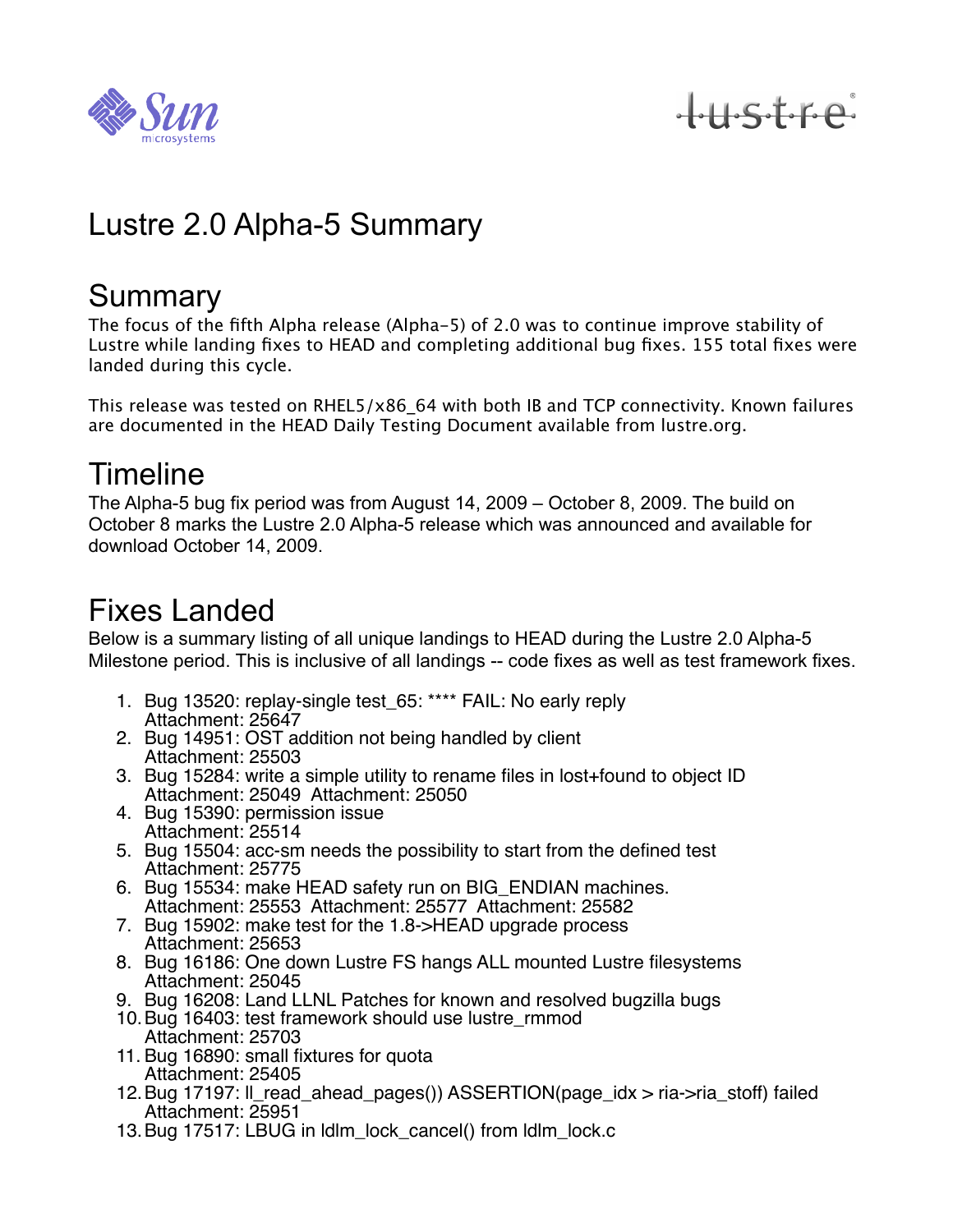

tustre

# Lustre 2.0 Alpha-5 Summary

#### **Summary**

The focus of the fifth Alpha release (Alpha-5) of 2.0 was to continue improve stability of Lustre while landing fixes to HEAD and completing additional bug fixes. 155 total fixes were landed during this cycle.

This release was tested on RHEL5/x86\_64 with both IB and TCP connectivity. Known failures are documented in the HEAD Daily Testing Document available from lustre.org.

### Timeline

The Alpha-5 bug fix period was from August 14, 2009 – October 8, 2009. The build on October 8 marks the Lustre 2.0 Alpha-5 release which was announced and available for download October 14, 2009.

## Fixes Landed

Below is a summary listing of all unique landings to HEAD during the Lustre 2.0 Alpha-5 Milestone period. This is inclusive of all landings -- code fixes as well as test framework fixes.

- 1. Bug 13520: replay-single test\_65: \*\*\*\* FAIL: No early reply Attachment: 25647
- 2. Bug 14951: OST addition not being handled by client Attachment: 25503
- 3. Bug 15284: write a simple utility to rename files in lost+found to object ID Attachment: 25049 Attachment: 25050
- 4. Bug 15390: permission issue Attachment: 25514
- 5. Bug 15504: acc-sm needs the possibility to start from the defined test Attachment: 25775
- 6. Bug 15534: make HEAD safety run on BIG\_ENDIAN machines. Attachment: 25553 Attachment: 25577 Attachment: 25582
- 7. Bug 15902: make test for the 1.8->HEAD upgrade process Attachment: 25653
- 8. Bug 16186: One down Lustre FS hangs ALL mounted Lustre filesystems Attachment: 25045
- 9. Bug 16208: Land LLNL Patches for known and resolved bugzilla bugs
- 10.Bug 16403: test framework should use lustre\_rmmod Attachment: 25703
- 11. Bug 16890: small fixtures for quota Attachment: 25405
- 12.Bug 17197: ll\_read\_ahead\_pages()) ASSERTION(page\_idx > ria->ria\_stoff) failed Attachment: 25951
- 13.Bug 17517: LBUG in ldlm\_lock\_cancel() from ldlm\_lock.c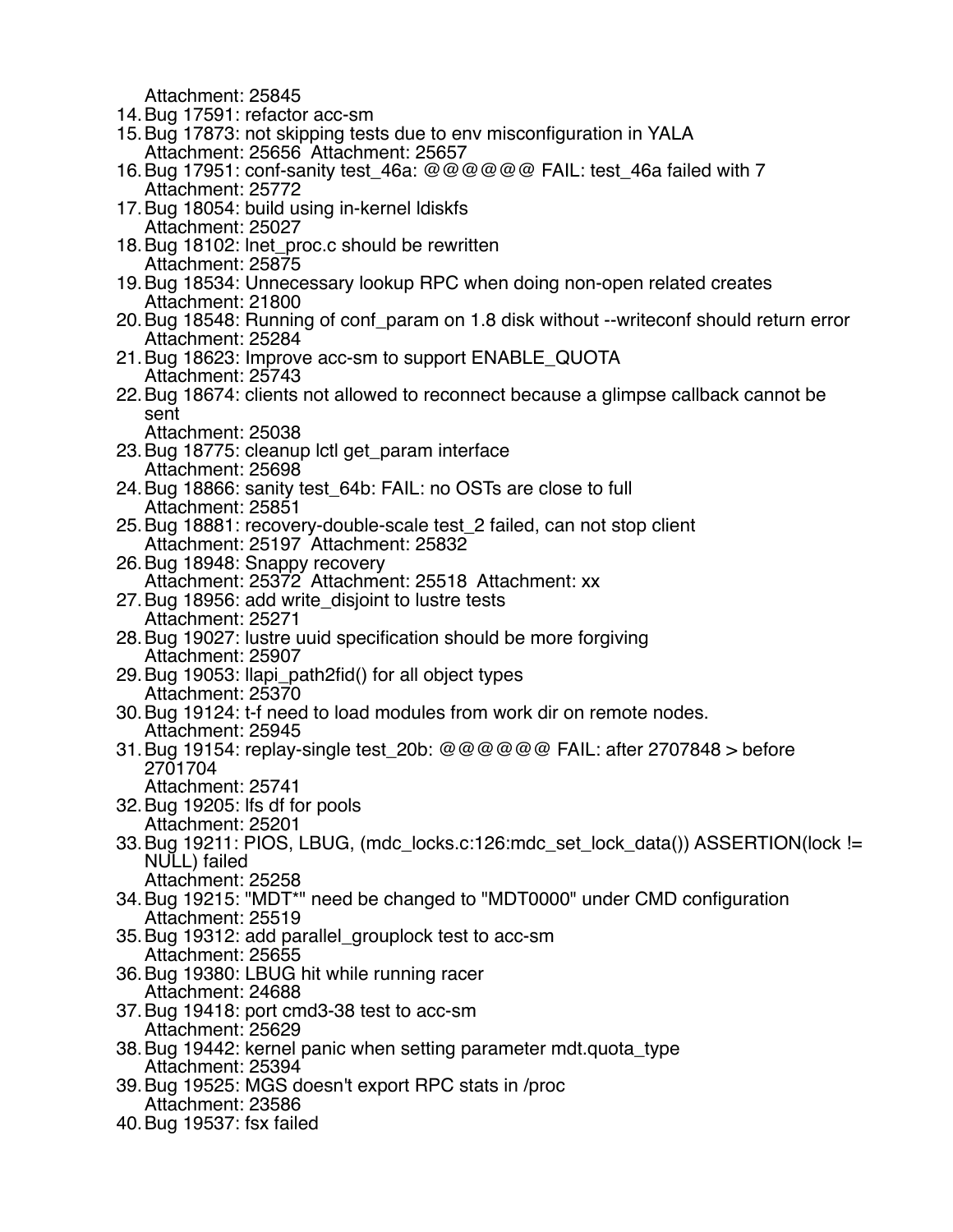Attachment: 25845

- 14.Bug 17591: refactor acc-sm
- 15.Bug 17873: not skipping tests due to env misconfiguration in YALA Attachment: 25656 Attachment: 25657
- 16.Bug 17951: conf-sanity test\_46a: @@@@@@ FAIL: test\_46a failed with 7 Attachment: 25772
- 17.Bug 18054: build using in-kernel ldiskfs Attachment: 25027
- 18.Bug 18102: lnet\_proc.c should be rewritten Attachment: 25875
- 19.Bug 18534: Unnecessary lookup RPC when doing non-open related creates Attachment: 21800
- 20.Bug 18548: Running of conf\_param on 1.8 disk without --writeconf should return error Attachment: 25284
- 21.Bug 18623: Improve acc-sm to support ENABLE\_QUOTA Attachment: 25743
- 22.Bug 18674: clients not allowed to reconnect because a glimpse callback cannot be sent
	- Attachment: 25038
- 23.Bug 18775: cleanup lctl get\_param interface Attachment: 25698
- 24.Bug 18866: sanity test\_64b: FAIL: no OSTs are close to full Attachment: 25851
- 25.Bug 18881: recovery-double-scale test\_2 failed, can not stop client Attachment: 25197 Attachment: 25832
- 26.Bug 18948: Snappy recovery Attachment: 25372 Attachment: 25518 Attachment: xx
- 27.Bug 18956: add write\_disjoint to lustre tests Attachment: 25271
- 28.Bug 19027: lustre uuid specification should be more forgiving Attachment: 25907
- 29.Bug 19053: llapi\_path2fid() for all object types Attachment: 25370
- 30.Bug 19124: t-f need to load modules from work dir on remote nodes. Attachment: 25945
- 31. Bug 19154: replay-single test  $20b: @@@@@@$  FAIL: after 2707848 > before 2701704
	- Attachment: 25741
- 32.Bug 19205: lfs df for pools Attachment: 25201
- 33.Bug 19211: PIOS, LBUG, (mdc\_locks.c:126:mdc\_set\_lock\_data()) ASSERTION(lock != NULL) failed Attachment: 25258
- 34.Bug 19215: "MDT\*" need be changed to "MDT0000" under CMD configuration Attachment: 25519
- 35.Bug 19312: add parallel\_grouplock test to acc-sm Attachment: 25655
- 36.Bug 19380: LBUG hit while running racer Attachment: 24688
- 37.Bug 19418: port cmd3-38 test to acc-sm Attachment: 25629
- 38.Bug 19442: kernel panic when setting parameter mdt.quota\_type Attachment: 25394
- 39.Bug 19525: MGS doesn't export RPC stats in /proc Attachment: 23586
- 40.Bug 19537: fsx failed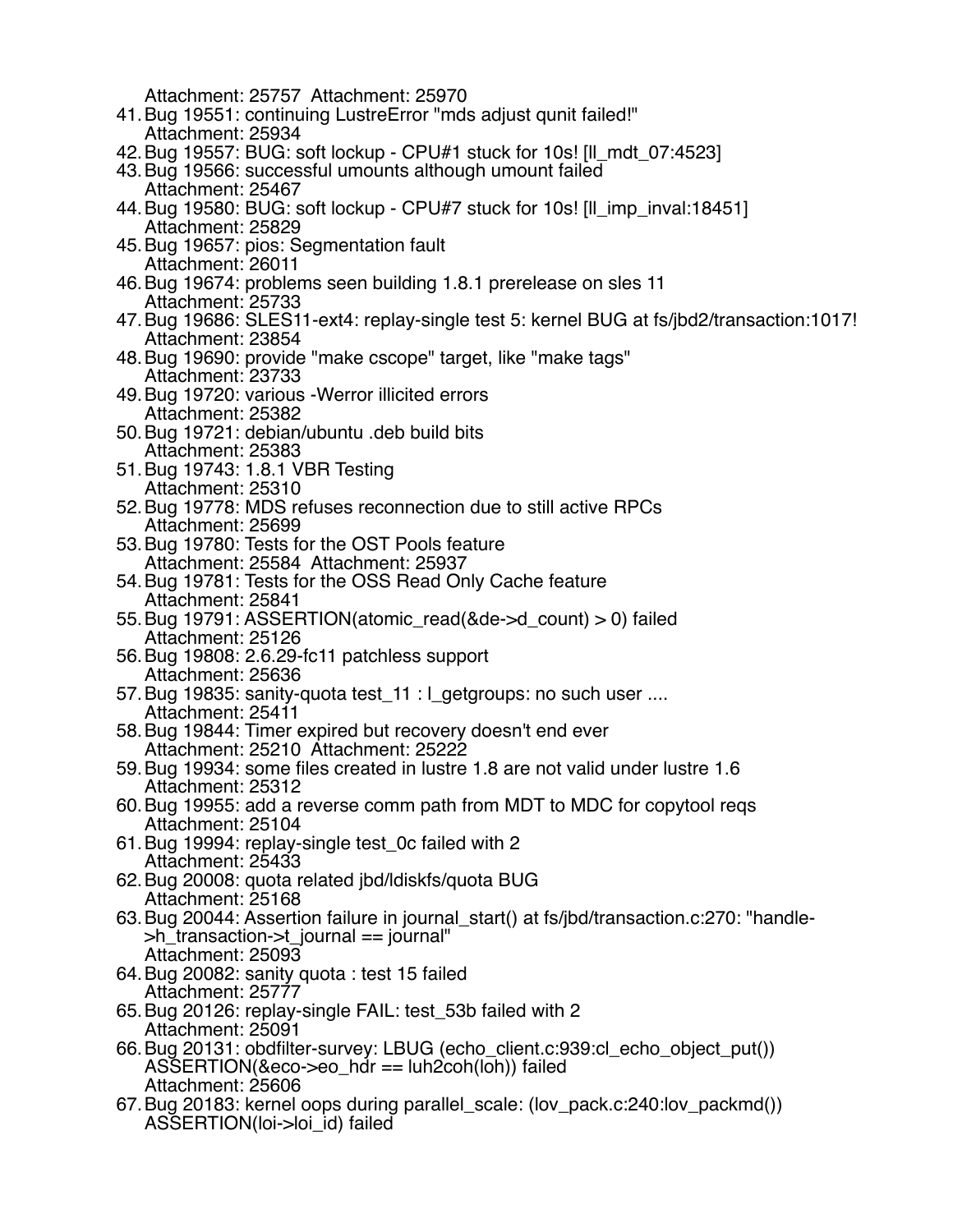Attachment: 25757 Attachment: 25970

- 41.Bug 19551: continuing LustreError "mds adjust qunit failed!" Attachment: 25934
- 42.Bug 19557: BUG: soft lockup CPU#1 stuck for 10s! [ll\_mdt\_07:4523]
- 43.Bug 19566: successful umounts although umount failed Attachment: 25467
- 44.Bug 19580: BUG: soft lockup CPU#7 stuck for 10s! [ll\_imp\_inval:18451] Attachment: 25829
- 45.Bug 19657: pios: Segmentation fault Attachment: 26011
- 46.Bug 19674: problems seen building 1.8.1 prerelease on sles 11 Attachment: 25733
- 47.Bug 19686: SLES11-ext4: replay-single test 5: kernel BUG at fs/jbd2/transaction:1017! Attachment: 23854
- 48.Bug 19690: provide "make cscope" target, like "make tags" Attachment: 23733
- 49.Bug 19720: various -Werror illicited errors Attachment: 25382
- 50.Bug 19721: debian/ubuntu .deb build bits Attachment: 25383
- 51.Bug 19743: 1.8.1 VBR Testing Attachment: 25310
- 52.Bug 19778: MDS refuses reconnection due to still active RPCs Attachment: 25699
- 53.Bug 19780: Tests for the OST Pools feature Attachment: 25584 Attachment: 25937
- 54.Bug 19781: Tests for the OSS Read Only Cache feature Attachment: 25841
- 55.Bug 19791: ASSERTION(atomic\_read(&de->d\_count) > 0) failed Attachment: 25126
- 56.Bug 19808: 2.6.29-fc11 patchless support Attachment: 25636
- 57. Bug 19835: sanity-quota test 11 : l\_getgroups: no such user .... Attachment: 25411
- 58.Bug 19844: Timer expired but recovery doesn't end ever Attachment: 25210 Attachment: 25222
- 59.Bug 19934: some files created in lustre 1.8 are not valid under lustre 1.6 Attachment: 25312
- 60.Bug 19955: add a reverse comm path from MDT to MDC for copytool reqs Attachment: 25104
- 61.Bug 19994: replay-single test\_0c failed with 2 Attachment: 25433
- 62.Bug 20008: quota related jbd/ldiskfs/quota BUG Attachment: 25168
- 63.Bug 20044: Assertion failure in journal\_start() at fs/jbd/transaction.c:270: "handle- >h\_transaction->t\_journal == journal" Attachment: 25093
- 64.Bug 20082: sanity quota : test 15 failed Attachment: 25777
- 65.Bug 20126: replay-single FAIL: test\_53b failed with 2 Attachment: 25091
- 66.Bug 20131: obdfilter-survey: LBUG (echo\_client.c:939:cl\_echo\_object\_put()) ASSERTION(&eco->eo\_hdr == luh2coh(loh)) failed Attachment: 25606
- 67.Bug 20183: kernel oops during parallel\_scale: (lov\_pack.c:240:lov\_packmd()) ASSERTION(loi->loi\_id) failed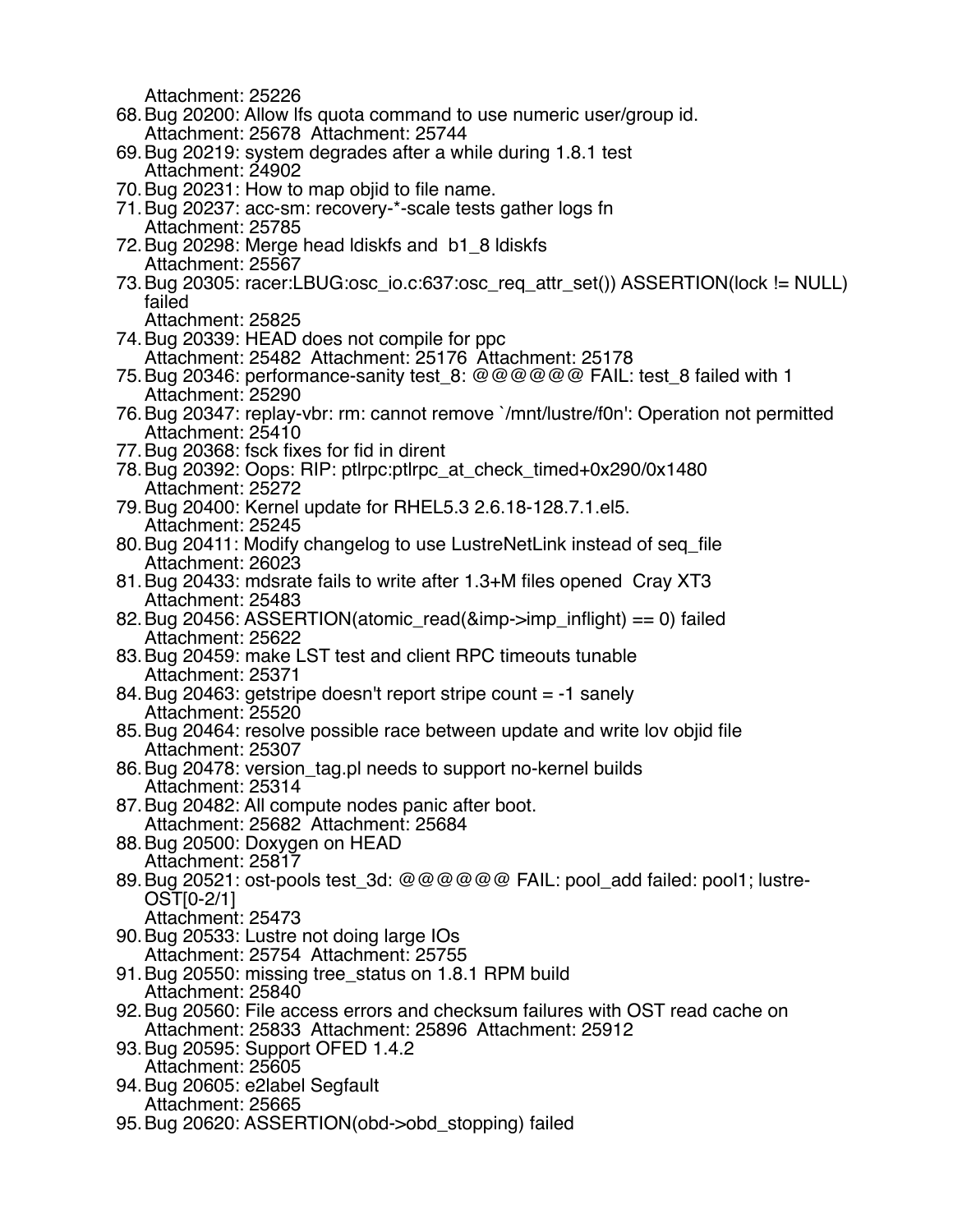Attachment: 25226 68.Bug 20200: Allow lfs quota command to use numeric user/group id. Attachment: 25678 Attachment: 25744 69.Bug 20219: system degrades after a while during 1.8.1 test Attachment: 24902 70.Bug 20231: How to map objid to file name. 71.Bug 20237: acc-sm: recovery-\*-scale tests gather logs fn Attachment: 25785 72.Bug 20298: Merge head ldiskfs and b1\_8 ldiskfs Attachment: 25567 73.Bug 20305: racer:LBUG:osc\_io.c:637:osc\_req\_attr\_set()) ASSERTION(lock != NULL) failed Attachment: 25825 74.Bug 20339: HEAD does not compile for ppc Attachment: 25482 Attachment: 25176 Attachment: 25178 75.Bug 20346: performance-sanity test\_8: @@@@@@ FAIL: test\_8 failed with 1 Attachment: 25290 76.Bug 20347: replay-vbr: rm: cannot remove `/mnt/lustre/f0n': Operation not permitted Attachment: 25410 77.Bug 20368: fsck fixes for fid in dirent 78.Bug 20392: Oops: RIP: ptlrpc:ptlrpc\_at\_check\_timed+0x290/0x1480 Attachment: 25272 79.Bug 20400: Kernel update for RHEL5.3 2.6.18-128.7.1.el5. Attachment: 25245 80.Bug 20411: Modify changelog to use LustreNetLink instead of seq\_file Attachment: 26023 81.Bug 20433: mdsrate fails to write after 1.3+M files opened Cray XT3 Attachment: 25483 82. Bug 20456: ASSERTION(atomic\_read( $&$ imp->imp\_inflight) == 0) failed Attachment: 25622 83.Bug 20459: make LST test and client RPC timeouts tunable Attachment: 25371 84.Bug 20463: getstripe doesn't report stripe count = -1 sanely Attachment: 25520 85.Bug 20464: resolve possible race between update and write lov objid file Attachment: 25307 86.Bug 20478: version\_tag.pl needs to support no-kernel builds Attachment: 25314 87.Bug 20482: All compute nodes panic after boot. Attachment: 25682 Attachment: 25684 88.Bug 20500: Doxygen on HEAD Attachment: 25817 89.Bug 20521: ost-pools test\_3d: @@@@@@ FAIL: pool\_add failed: pool1; lustre-OST[0-2/1] Attachment: 25473 90.Bug 20533: Lustre not doing large IOs Attachment: 25754 Attachment: 25755 91.Bug 20550: missing tree\_status on 1.8.1 RPM build Attachment: 25840 92.Bug 20560: File access errors and checksum failures with OST read cache on Attachment: 25833 Attachment: 25896 Attachment: 25912 93.Bug 20595: Support OFED 1.4.2 Attachment: 25605 94.Bug 20605: e2label Segfault Attachment: 25665 95.Bug 20620: ASSERTION(obd->obd\_stopping) failed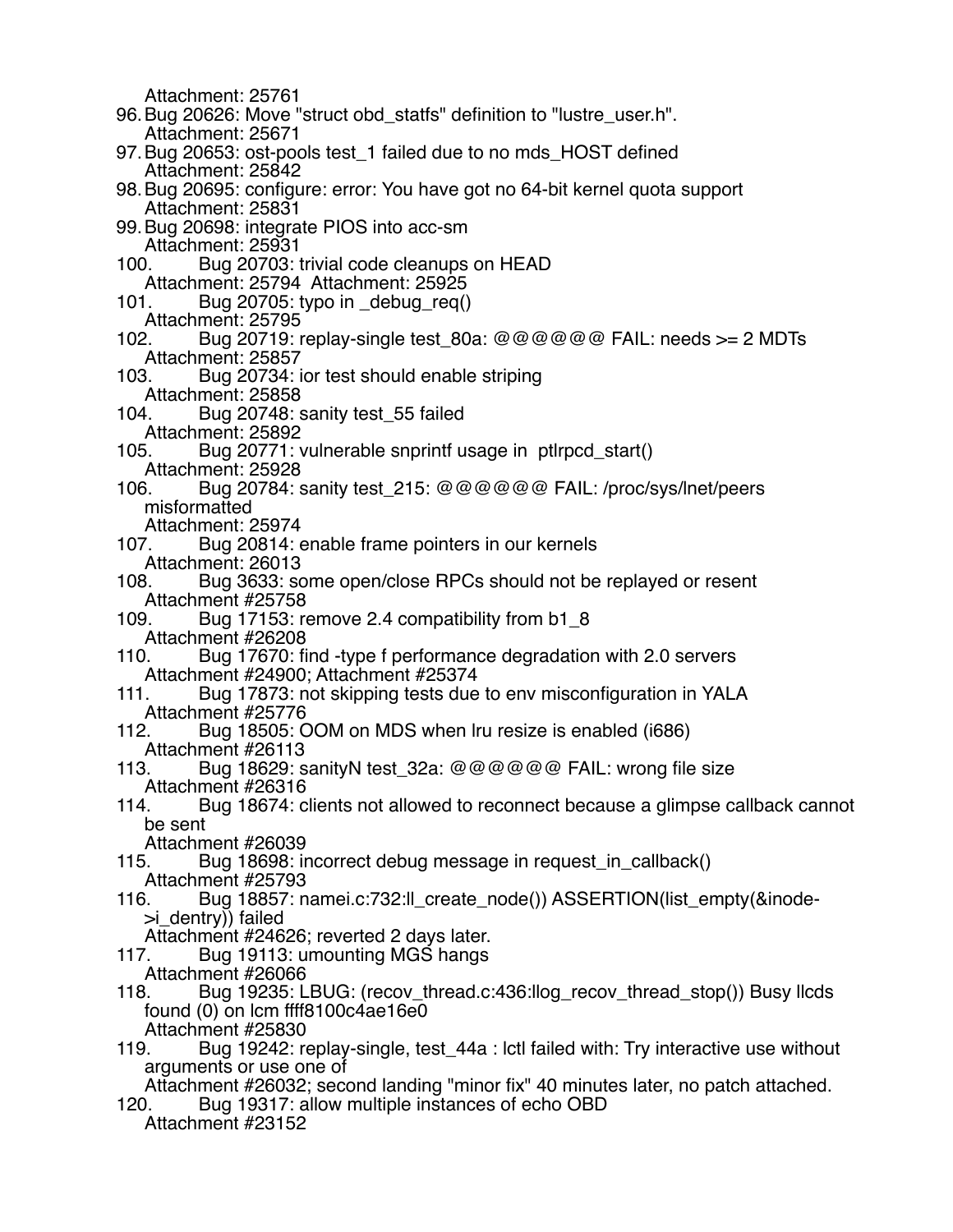Attachment: 25761 96.Bug 20626: Move "struct obd\_statfs" definition to "lustre\_user.h". Attachment: 25671 97.Bug 20653: ost-pools test\_1 failed due to no mds\_HOST defined Attachment: 25842 98.Bug 20695: configure: error: You have got no 64-bit kernel quota support Attachment: 25831 99.Bug 20698: integrate PIOS into acc-sm Attachment: 25931 100. Bug 20703: trivial code cleanups on HEAD Attachment: 25794 Attachment: 25925 101. Bug 20705: typo in \_debug\_req() Attachment: 25795 102. Bug 20719: replay-single test  $80a: @@@@@@$  FAIL: needs  $>= 2$  MDTs Attachment: 25857 103. Bug 20734: ior test should enable striping Attachment: 25858 104. Bug 20748: sanity test\_55 failed Attachment: 25892 105. Bug 20771: vulnerable snprintf usage in ptlrpcd\_start() Attachment: 25928 106. Bug 20784: sanity test\_215: @@@@@@ FAIL: /proc/sys/lnet/peers misformatted Attachment: 25974<br>107. Bug 20814: 6 Bug 20814: enable frame pointers in our kernels Attachment: 26013 108. Bug 3633: some open/close RPCs should not be replayed or resent Attachment #25758 109. Bug 17153: remove 2.4 compatibility from b1\_8 Attachment #26208 110. Bug 17670: find -type f performance degradation with 2.0 servers Attachment #24900; Attachment #25374 111. Bug 17873: not skipping tests due to env misconfiguration in YALA Attachment #25776 112. Bug 18505: OOM on MDS when lru resize is enabled (i686) Attachment #26113 113. Bug 18629: sanityN test 32a: @@@@@@ FAIL: wrong file size Attachment #26316 114. Bug 18674: clients not allowed to reconnect because a glimpse callback cannot be sent Attachment #26039 115. Bug 18698: incorrect debug message in request\_in\_callback() Attachment #25793 116. Bug 18857: namei.c:732:ll\_create\_node()) ASSERTION(list\_empty(&inode- >i\_dentry)) failed Attachment #24626; reverted 2 days later. 117. Bug 19113: umounting MGS hangs Attachment #26066 118. Bug 19235: LBUG: (recov\_thread.c:436:llog\_recov\_thread\_stop()) Busy llcds found (0) on lcm ffff8100c4ae16e0 Attachment #25830 119. Bug 19242: replay-single, test\_44a : lctl failed with: Try interactive use without arguments or use one of Attachment #26032; second landing "minor fix" 40 minutes later, no patch attached. 120. Bug 19317: allow multiple instances of echo OBD Attachment #23152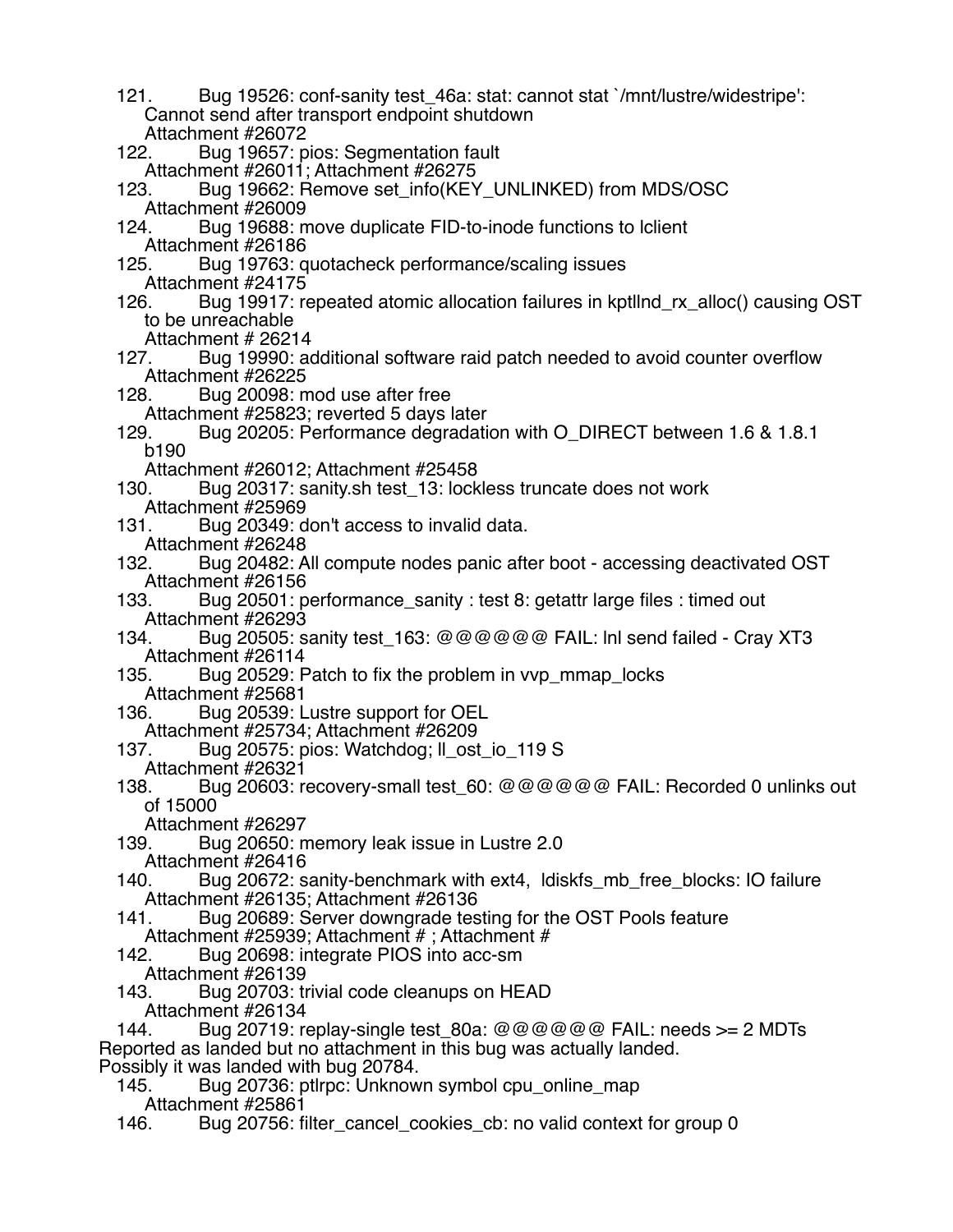121. Bug 19526: conf-sanity test\_46a: stat: cannot stat `/mnt/lustre/widestripe': Cannot send after transport endpoint shutdown Attachment #26072<br>122. Bug 19657: p Bug 19657: pios: Segmentation fault Attachment #26011; Attachment #26275 123. Bug 19662: Remove set info(KEY\_UNLINKED) from MDS/OSC Attachment #26009 124. Bug 19688: move duplicate FID-to-inode functions to lclient Attachment #26186 125. Bug 19763: quotacheck performance/scaling issues Attachment #24175<br>126. Bug 19917: r Bug 19917: repeated atomic allocation failures in kptllnd rx alloc() causing OST to be unreachable Attachment # 26214<br>127. Bug 19990: ac Bug 19990: additional software raid patch needed to avoid counter overflow Attachment #26225 128. Bug 20098: mod use after free Attachment #25823; reverted 5 days later 129. Bug 20205: Performance degradation with O\_DIRECT between 1.6 & 1.8.1 b190 Attachment #26012; Attachment #25458 130. Bug 20317: sanity.sh test\_13: lockless truncate does not work Attachment #25969 131. Bug 20349: don't access to invalid data. Attachment #26248<br>132. Bug 20482: A Bug 20482: All compute nodes panic after boot - accessing deactivated OST Attachment #26156 133. Bug 20501: performance\_sanity : test 8: getattr large files : timed out Attachment #26293 134. Bug 20505: sanity test\_163: @@@@@@ FAIL: lnl send failed - Cray XT3 Attachment #26114<br>135. Bug 20529: F Bug 20529: Patch to fix the problem in vvp\_mmap\_locks Attachment #25681<br>136. Bug 20539: L Bug 20539: Lustre support for OEL Attachment #25734; Attachment #26209 137. Bug 20575: pios: Watchdog; Il ost io 119 S Attachment #26321<br>138. Bug 20603: r Bug 20603: recovery-small test\_60: @@@@@@ FAIL: Recorded 0 unlinks out of 15000 Attachment #26297 139. Bug 20650: memory leak issue in Lustre 2.0 Attachment #26416<br>140. Bug 20672: s 140. Bug 20672: sanity-benchmark with ext4, ldiskfs\_mb\_free\_blocks: IO failure Attachment #26135; Attachment #26136 Bug 20689: Server downgrade testing for the OST Pools feature Attachment #25939; Attachment # ; Attachment # 142. Bug 20698: integrate PIOS into acc-sm Attachment #26139<br>143. Bug 20703: tr Bug 20703: trivial code cleanups on HEAD Attachment #26134 144. Bug 20719: replay-single test  $80a: @@@@@@$  FAIL: needs  $>= 2$  MDTs Reported as landed but no attachment in this bug was actually landed. Possibly it was landed with bug 20784. Bug 20736: ptlrpc: Unknown symbol cpu\_online\_map Attachment #25861<br>146. Bug 20756: f Bug 20756: filter\_cancel\_cookies\_cb: no valid context for group 0